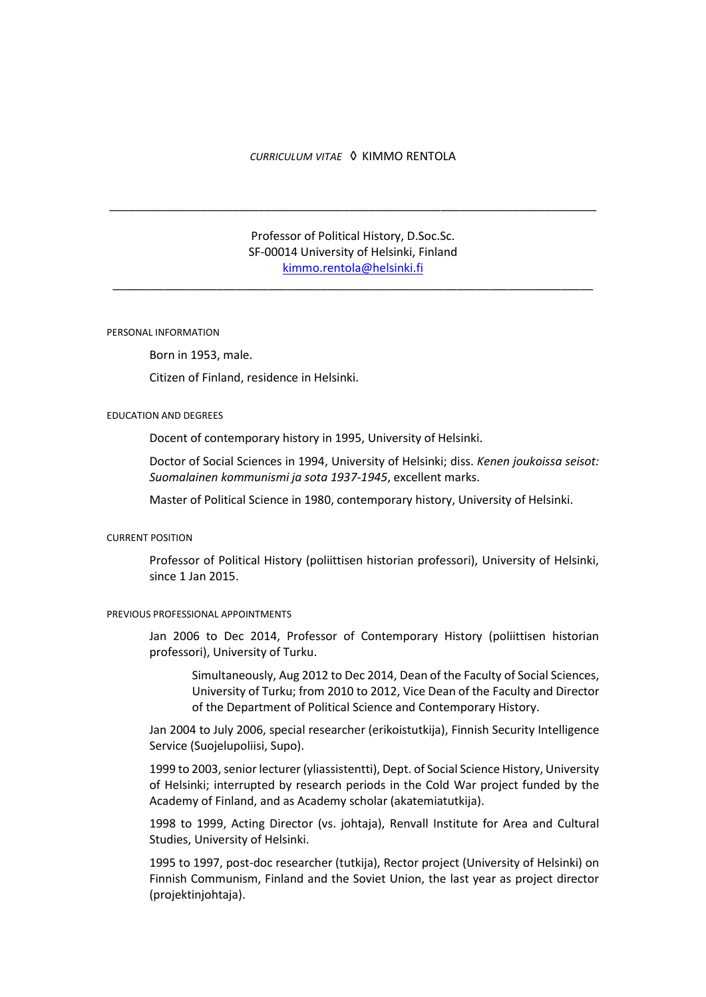# *CURRICULUM VITAE*◊ KIMMO RENTOLA

\_\_\_\_\_\_\_\_\_\_\_\_\_\_\_\_\_\_\_\_\_\_\_\_\_\_\_\_\_\_\_\_\_\_\_\_\_\_\_\_\_\_\_\_\_\_\_\_\_\_\_\_\_\_\_\_\_\_\_\_\_\_\_\_\_\_\_\_\_\_\_\_\_\_\_

# Professor of Political History, D.Soc.Sc. SF-00014 University of Helsinki, Finland [kimmo.rentola@helsinki.fi](mailto:kimmo.rentola@helsinki.fi)

\_\_\_\_\_\_\_\_\_\_\_\_\_\_\_\_\_\_\_\_\_\_\_\_\_\_\_\_\_\_\_\_\_\_\_\_\_\_\_\_\_\_\_\_\_\_\_\_\_\_\_\_\_\_\_\_\_\_\_\_\_\_\_\_\_\_\_\_\_\_\_\_\_\_

### PERSONAL INFORMATION

Born in 1953, male.

Citizen of Finland, residence in Helsinki.

#### EDUCATION AND DEGREES

Docent of contemporary history in 1995, University of Helsinki.

Doctor of Social Sciences in 1994, University of Helsinki; diss. *Kenen joukoissa seisot: Suomalainen kommunismi ja sota 1937-1945*, excellent marks.

Master of Political Science in 1980, contemporary history, University of Helsinki.

### CURRENT POSITION

Professor of Political History (poliittisen historian professori), University of Helsinki, since 1 Jan 2015.

#### PREVIOUS PROFESSIONAL APPOINTMENTS

Jan 2006 to Dec 2014, Professor of Contemporary History (poliittisen historian professori), University of Turku.

Simultaneously, Aug 2012 to Dec 2014, Dean of the Faculty of Social Sciences, University of Turku; from 2010 to 2012, Vice Dean of the Faculty and Director of the Department of Political Science and Contemporary History.

Jan 2004 to July 2006, special researcher (erikoistutkija), Finnish Security Intelligence Service (Suojelupoliisi, Supo).

1999 to 2003, senior lecturer (yliassistentti), Dept. of Social Science History, University of Helsinki; interrupted by research periods in the Cold War project funded by the Academy of Finland, and as Academy scholar (akatemiatutkija).

1998 to 1999, Acting Director (vs. johtaja), Renvall Institute for Area and Cultural Studies, University of Helsinki.

1995 to 1997, post-doc researcher (tutkija), Rector project (University of Helsinki) on Finnish Communism, Finland and the Soviet Union, the last year as project director (projektinjohtaja).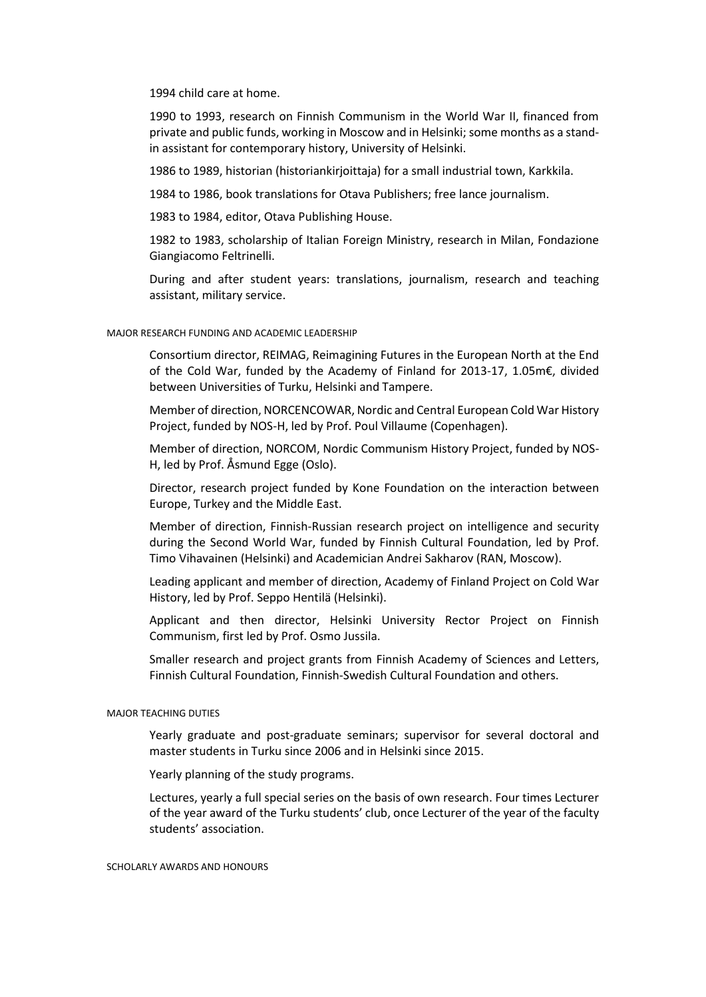1994 child care at home.

1990 to 1993, research on Finnish Communism in the World War II, financed from private and public funds, working in Moscow and in Helsinki; some months as a standin assistant for contemporary history, University of Helsinki.

1986 to 1989, historian (historiankirjoittaja) for a small industrial town, Karkkila.

1984 to 1986, book translations for Otava Publishers; free lance journalism.

1983 to 1984, editor, Otava Publishing House.

1982 to 1983, scholarship of Italian Foreign Ministry, research in Milan, Fondazione Giangiacomo Feltrinelli.

During and after student years: translations, journalism, research and teaching assistant, military service.

#### MAJOR RESEARCH FUNDING AND ACADEMIC LEADERSHIP

Consortium director, REIMAG, Reimagining Futures in the European North at the End of the Cold War, funded by the Academy of Finland for 2013-17, 1.05m€, divided between Universities of Turku, Helsinki and Tampere.

Member of direction, NORCENCOWAR, Nordic and Central European Cold War History Project, funded by NOS-H, led by Prof. Poul Villaume (Copenhagen).

Member of direction, NORCOM, Nordic Communism History Project, funded by NOS-H, led by Prof. Åsmund Egge (Oslo).

Director, research project funded by Kone Foundation on the interaction between Europe, Turkey and the Middle East.

Member of direction, Finnish-Russian research project on intelligence and security during the Second World War, funded by Finnish Cultural Foundation, led by Prof. Timo Vihavainen (Helsinki) and Academician Andrei Sakharov (RAN, Moscow).

Leading applicant and member of direction, Academy of Finland Project on Cold War History, led by Prof. Seppo Hentilä (Helsinki).

Applicant and then director, Helsinki University Rector Project on Finnish Communism, first led by Prof. Osmo Jussila.

Smaller research and project grants from Finnish Academy of Sciences and Letters, Finnish Cultural Foundation, Finnish-Swedish Cultural Foundation and others.

# MAJOR TEACHING DUTIES

Yearly graduate and post-graduate seminars; supervisor for several doctoral and master students in Turku since 2006 and in Helsinki since 2015.

Yearly planning of the study programs.

Lectures, yearly a full special series on the basis of own research. Four times Lecturer of the year award of the Turku students' club, once Lecturer of the year of the faculty students' association.

#### SCHOLARLY AWARDS AND HONOURS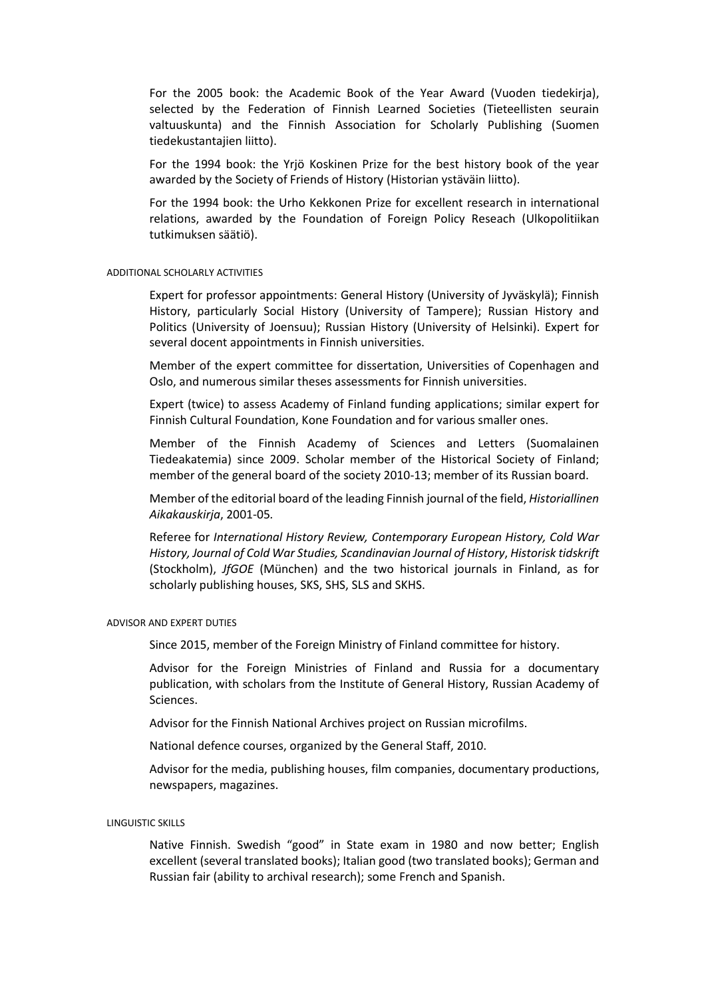For the 2005 book: the Academic Book of the Year Award (Vuoden tiedekirja), selected by the Federation of Finnish Learned Societies (Tieteellisten seurain valtuuskunta) and the Finnish Association for Scholarly Publishing (Suomen tiedekustantajien liitto).

For the 1994 book: the Yrjö Koskinen Prize for the best history book of the year awarded by the Society of Friends of History (Historian ystäväin liitto).

For the 1994 book: the Urho Kekkonen Prize for excellent research in international relations, awarded by the Foundation of Foreign Policy Reseach (Ulkopolitiikan tutkimuksen säätiö).

### ADDITIONAL SCHOLARLY ACTIVITIES

Expert for professor appointments: General History (University of Jyväskylä); Finnish History, particularly Social History (University of Tampere); Russian History and Politics (University of Joensuu); Russian History (University of Helsinki). Expert for several docent appointments in Finnish universities.

Member of the expert committee for dissertation, Universities of Copenhagen and Oslo, and numerous similar theses assessments for Finnish universities.

Expert (twice) to assess Academy of Finland funding applications; similar expert for Finnish Cultural Foundation, Kone Foundation and for various smaller ones.

Member of the Finnish Academy of Sciences and Letters (Suomalainen Tiedeakatemia) since 2009. Scholar member of the Historical Society of Finland; member of the general board of the society 2010-13; member of its Russian board.

Member of the editorial board of the leading Finnish journal of the field, *Historiallinen Aikakauskirja*, 2001-05*.*

Referee for *International History Review, Contemporary European History, Cold War History, Journal of Cold War Studies, Scandinavian Journal of History*, *Historisk tidskrift*  (Stockholm), *JfGOE* (München) and the two historical journals in Finland, as for scholarly publishing houses, SKS, SHS, SLS and SKHS.

#### ADVISOR AND EXPERT DUTIES

Since 2015, member of the Foreign Ministry of Finland committee for history.

Advisor for the Foreign Ministries of Finland and Russia for a documentary publication, with scholars from the Institute of General History, Russian Academy of Sciences.

Advisor for the Finnish National Archives project on Russian microfilms.

National defence courses, organized by the General Staff, 2010.

Advisor for the media, publishing houses, film companies, documentary productions, newspapers, magazines.

# LINGUISTIC SKILLS

Native Finnish. Swedish "good" in State exam in 1980 and now better; English excellent (several translated books); Italian good (two translated books); German and Russian fair (ability to archival research); some French and Spanish.